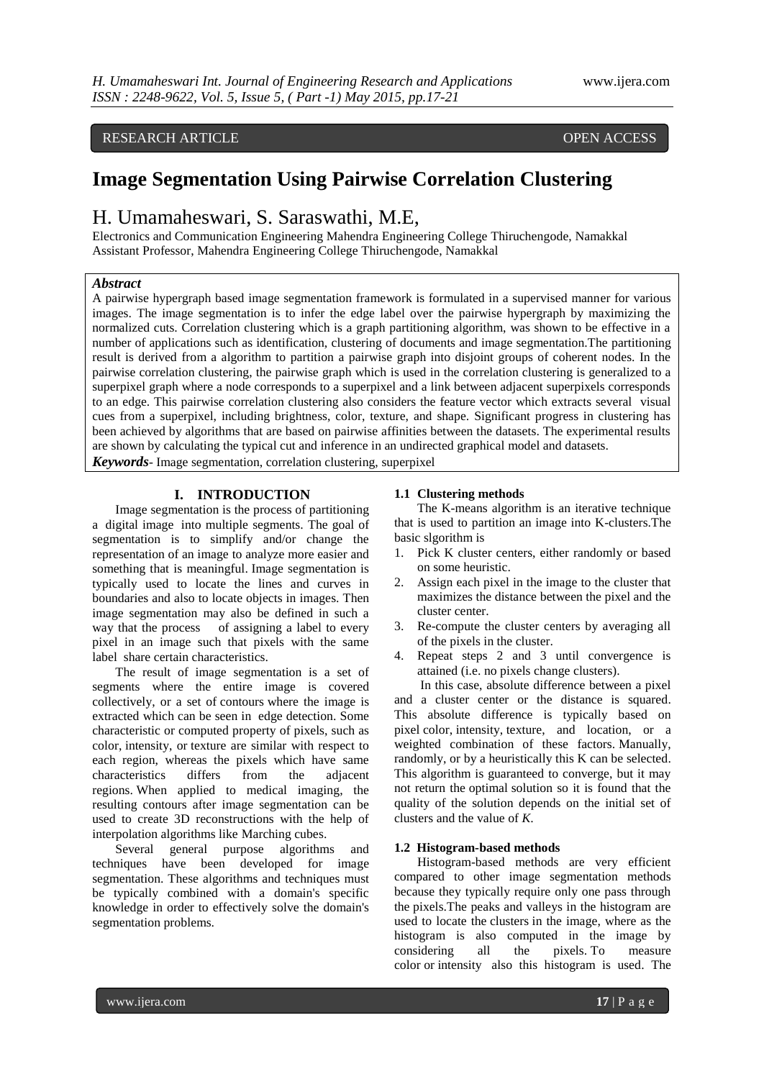# RESEARCH ARTICLE **CONSERVERS** OPEN ACCESS

# **Image Segmentation Using Pairwise Correlation Clustering**

# H. Umamaheswari, S. Saraswathi, M.E,

Electronics and Communication Engineering Mahendra Engineering College Thiruchengode, Namakkal Assistant Professor, Mahendra Engineering College Thiruchengode, Namakkal

# *Abstract*

A pairwise hypergraph based image segmentation framework is formulated in a supervised manner for various images. The image segmentation is to infer the edge label over the pairwise hypergraph by maximizing the normalized cuts. Correlation clustering which is a graph partitioning algorithm, was shown to be effective in a number of applications such as identification, clustering of documents and image segmentation.The partitioning result is derived from a algorithm to partition a pairwise graph into disjoint groups of coherent nodes. In the pairwise correlation clustering, the pairwise graph which is used in the correlation clustering is generalized to a superpixel graph where a node corresponds to a superpixel and a link between adjacent superpixels corresponds to an edge. This pairwise correlation clustering also considers the feature vector which extracts several visual cues from a superpixel, including brightness, color, texture, and shape. Significant progress in clustering has been achieved by algorithms that are based on pairwise affinities between the datasets. The experimental results are shown by calculating the typical cut and inference in an undirected graphical model and datasets. *Keywords*- Image segmentation, correlation clustering, superpixel

# **I. INTRODUCTION**

Image segmentation is the process of partitioning a [digital image](http://en.wikipedia.org/wiki/Digital_image) into multiple segments. The goal of segmentation is to simplify and/or change the representation of an image to analyze more easier and something that is meaningful. Image segmentation is typically used to locate the lines and curves in boundaries and also to locate objects in images. Then image segmentation may also be defined in such a way that the process of assigning a label to every pixel in an image such that pixels with the same label share certain characteristics.

The result of image segmentation is a set of segments where the entire image is covered collectively, or a set of [contours](http://en.wikipedia.org/wiki/Contour_line) where the image is extracted which can be seen in [edge detection.](http://en.wikipedia.org/wiki/Edge_detection) Some characteristic or computed property of pixels, such as [color,](http://en.wikipedia.org/wiki/Color) [intensity,](http://en.wikipedia.org/wiki/Luminous_intensity) or [texture](http://en.wikipedia.org/wiki/Image_texture) are similar with respect to each region, whereas the pixels which have same characteristics differs from the adjacent regions. When applied to [medical imaging,](http://en.wikipedia.org/wiki/Medical_imaging) the resulting contours after image segmentation can be used to create 3D reconstructions with the help of interpolation algorithms like [Marching cubes.](http://en.wikipedia.org/wiki/Marching_cubes)

Several general purpose algorithms and techniques have been developed for image segmentation. These algorithms and techniques must be typically combined with a domain's specific knowledge in order to effectively solve the domain's segmentation problems.

#### **1.1 Clustering methods**

The K-means algorithm is an iterative technique that is used to partition an image into K-clusters.The basic slgorithm is

- 1. Pick K cluster centers, either randomly or based on some heuristic.
- 2. Assign each pixel in the image to the cluster that maximizes the distance between the pixel and the cluster center.
- 3. Re-compute the cluster centers by averaging all of the pixels in the cluster.
- 4. Repeat steps 2 and 3 until convergence is attained (i.e. no pixels change clusters).

In this case, absolute difference between a pixel and a cluster center or the distance is squared. This absolute difference is typically based on pixel [color,](http://en.wikipedia.org/wiki/Hue) [intensity,](http://en.wikipedia.org/wiki/Brightness) [texture,](http://en.wikipedia.org/wiki/Texture_(computer_graphics)) and location, or a weighted combination of these factors. Manually, [randomly,](http://en.wikipedia.org/wiki/Random) or by a [heuristica](http://en.wikipedia.org/wiki/Heuristic)lly this K can be selected. This algorithm is guaranteed to converge, but it may not return the [optimal](http://en.wikipedia.org/wiki/Global_optimum) solution so it is found that the quality of the solution depends on the initial set of clusters and the value of *K*.

#### **1.2 [Histogram-](http://en.wikipedia.org/wiki/Histogram)based methods**

[Histogram-](http://en.wikipedia.org/wiki/Histogram)based methods are very efficient compared to other image segmentation methods because they typically require only one pass through the [pixels.](http://en.wikipedia.org/wiki/Pixel)The peaks and valleys in the histogram are used to locate the [clusters](http://en.wikipedia.org/wiki/Cluster_analysis) in the image, where as the histogram is also computed in the image by considering all the pixels. To measure [color](http://en.wikipedia.org/wiki/Hue) or [intensity](http://en.wikipedia.org/wiki/Brightness) also this histogram is used. The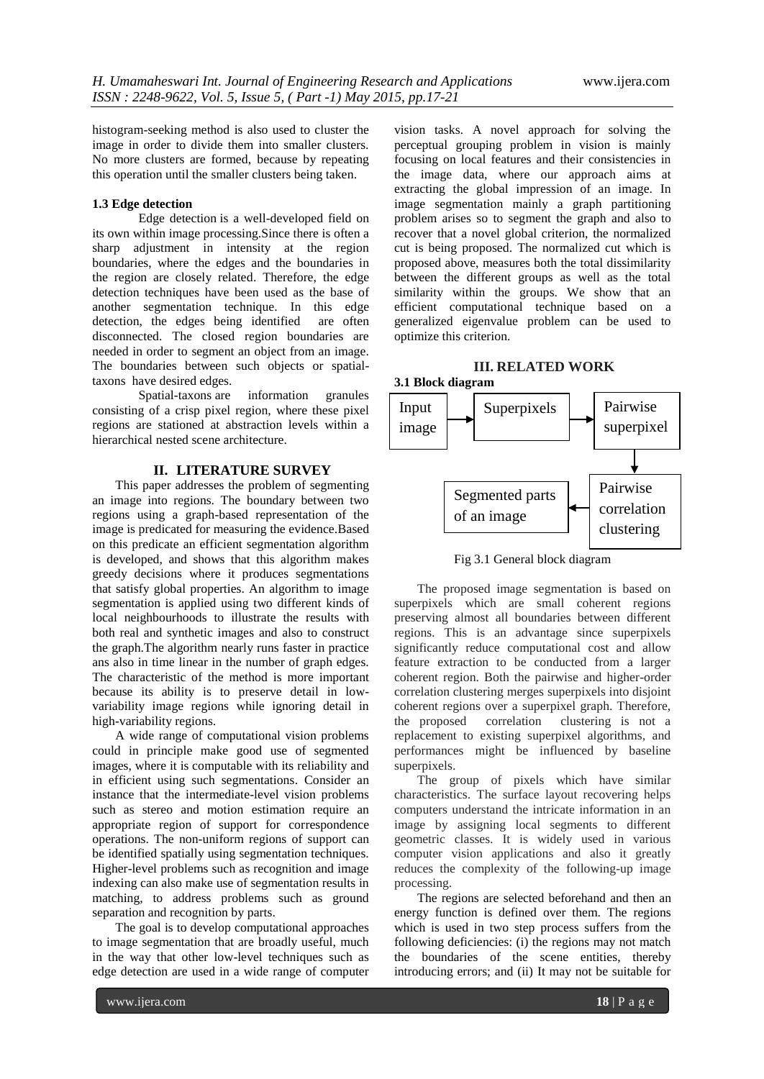histogram-seeking method is also used to cluster the image in order to divide them into smaller clusters. No more clusters are formed, because by repeating this operation until the smaller clusters being taken.

# **1.3 [Edge detection](http://en.wikipedia.org/wiki/Edge_detection)**

Edge [detection](http://en.wikipedia.org/wiki/Edge_detection) is a well-developed field on its own within image processing.Since there is often a sharp adjustment in intensity at the region boundaries, where the edges and the boundaries in the region are closely related. Therefore, the edge detection techniques have been used as the base of another segmentation technique. In this edge detection, the edges being identified are often disconnected. The closed region boundaries are needed in order to segment an object from an image. The boundaries between such objects or spatialtaxons have desired edges.

Spatial-taxons are information granules consisting of a crisp pixel region, where these pixel regions are stationed at abstraction levels within a hierarchical nested scene architecture.

# **II. LITERATURE SURVEY**

This paper addresses the problem of segmenting an image into regions. The boundary between two regions using a graph-based representation of the image is predicated for measuring the evidence.Based on this predicate an efficient segmentation algorithm is developed, and shows that this algorithm makes greedy decisions where it produces segmentations that satisfy global properties. An algorithm to image segmentation is applied using two different kinds of local neighbourhoods to illustrate the results with both real and synthetic images and also to construct the graph.The algorithm nearly runs faster in practice ans also in time linear in the number of graph edges. The characteristic of the method is more important because its ability is to preserve detail in lowvariability image regions while ignoring detail in high-variability regions.

A wide range of computational vision problems could in principle make good use of segmented images, where it is computable with its reliability and in efficient using such segmentations. Consider an instance that the intermediate-level vision problems such as stereo and motion estimation require an appropriate region of support for correspondence operations. The non-uniform regions of support can be identified spatially using segmentation techniques. Higher-level problems such as recognition and image indexing can also make use of segmentation results in matching, to address problems such as ground separation and recognition by parts.

The goal is to develop computational approaches to image segmentation that are broadly useful, much in the way that other low-level techniques such as edge detection are used in a wide range of computer

vision tasks. A novel approach for solving the perceptual grouping problem in vision is mainly focusing on local features and their consistencies in the image data, where our approach aims at extracting the global impression of an image. In image segmentation mainly a graph partitioning problem arises so to segment the graph and also to recover that a novel global criterion, the normalized cut is being proposed. The normalized cut which is proposed above, measures both the total dissimilarity between the different groups as well as the total similarity within the groups. We show that an efficient computational technique based on a generalized eigenvalue problem can be used to optimize this criterion.





Fig 3.1 General block diagram

The proposed image segmentation is based on superpixels which are small coherent regions preserving almost all boundaries between different regions. This is an advantage since superpixels significantly reduce computational cost and allow feature extraction to be conducted from a larger coherent region. Both the pairwise and higher-order correlation clustering merges superpixels into disjoint coherent regions over a superpixel graph. Therefore,<br>the proposed correlation clustering is not a the proposed correlation replacement to existing superpixel algorithms, and performances might be influenced by baseline superpixels.

The group of pixels which have similar characteristics. The surface layout recovering helps computers understand the intricate information in an image by assigning local segments to different geometric classes. It is widely used in various computer vision applications and also it greatly reduces the complexity of the following-up image processing.

The regions are selected beforehand and then an energy function is defined over them. The regions which is used in two step process suffers from the following deficiencies: (i) the regions may not match the boundaries of the scene entities, thereby introducing errors; and (ii) It may not be suitable for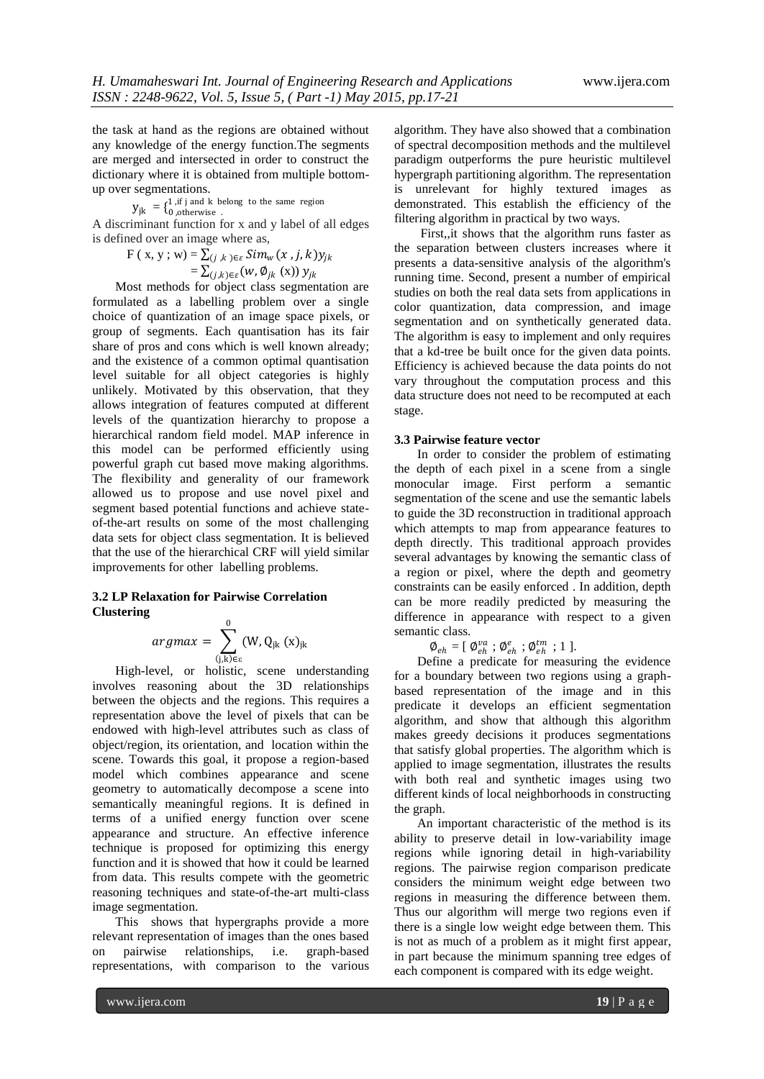the task at hand as the regions are obtained without any knowledge of the energy function.The segments are merged and intersected in order to construct the dictionary where it is obtained from multiple bottomup over segmentations.

> $y_{jk} = \{^{1 \text{ , } \text{ or } j \text{ and } \kappa \text{ } \text{ } p} \}$ 1 ,if j and k belong to the same region

A discriminant function for x and y label of all edges is defined over an image where as,

$$
F(x, y; w) = \sum_{(j,k) \in \varepsilon} Sim_w(x, j, k) y_{jk}
$$
  
=  $\sum_{(j,k) \in \varepsilon} (w, \emptyset_{jk}(x)) y_{jk}$ 

Most methods for object class segmentation are formulated as a labelling problem over a single choice of quantization of an image space pixels, or group of segments. Each quantisation has its fair share of pros and cons which is well known already; and the existence of a common optimal quantisation level suitable for all object categories is highly unlikely. Motivated by this observation, that they allows integration of features computed at different levels of the quantization hierarchy to propose a hierarchical random field model. MAP inference in this model can be performed efficiently using powerful graph cut based move making algorithms. The flexibility and generality of our framework allowed us to propose and use novel pixel and segment based potential functions and achieve stateof-the-art results on some of the most challenging data sets for object class segmentation. It is believed that the use of the hierarchical CRF will yield similar improvements for other labelling problems.

# **3.2 LP Relaxation for Pairwise Correlation Clustering**

$$
argmax = \sum_{(j,k)\in \varepsilon}^{0} (W, Q_{jk}(x)_{jk})
$$

High-level, or holistic, scene understanding involves reasoning about the 3D relationships between the objects and the regions. This requires a representation above the level of pixels that can be endowed with high-level attributes such as class of object/region, its orientation, and location within the scene. Towards this goal, it propose a region-based model which combines appearance and scene geometry to automatically decompose a scene into semantically meaningful regions. It is defined in terms of a unified energy function over scene appearance and structure. An effective inference technique is proposed for optimizing this energy function and it is showed that how it could be learned from data. This results compete with the geometric reasoning techniques and state-of-the-art multi-class image segmentation.

This shows that hypergraphs provide a more relevant representation of images than the ones based on pairwise relationships, i.e. graph-based representations, with comparison to the various

algorithm. They have also showed that a combination of spectral decomposition methods and the multilevel paradigm outperforms the pure heuristic multilevel hypergraph partitioning algorithm. The representation is unrelevant for highly textured images as demonstrated. This establish the efficiency of the filtering algorithm in practical by two ways.

First,,it shows that the algorithm runs faster as the separation between clusters increases where it presents a data-sensitive analysis of the algorithm's running time. Second, present a number of empirical studies on both the real data sets from applications in color quantization, data compression, and image segmentation and on synthetically generated data. The algorithm is easy to implement and only requires that a kd-tree be built once for the given data points. Efficiency is achieved because the data points do not vary throughout the computation process and this data structure does not need to be recomputed at each stage.

# **3.3 Pairwise feature vector**

In order to consider the problem of estimating the depth of each pixel in a scene from a single monocular image. First perform a semantic segmentation of the scene and use the semantic labels to guide the 3D reconstruction in traditional approach which attempts to map from appearance features to depth directly. This traditional approach provides several advantages by knowing the semantic class of a region or pixel, where the depth and geometry constraints can be easily enforced . In addition, depth can be more readily predicted by measuring the difference in appearance with respect to a given semantic class.

 $\boldsymbol{\varnothing}_{eh} = [ \ \boldsymbol{\varnothing}_{eh}^{va} \ ; \boldsymbol{\varnothing}_{eh}^{e} \ ; \boldsymbol{\varnothing}_{eh}^{tm} \ ; 1 \ ].$ 

Define a predicate for measuring the evidence for a boundary between two regions using a graphbased representation of the image and in this predicate it develops an efficient segmentation algorithm, and show that although this algorithm makes greedy decisions it produces segmentations that satisfy global properties. The algorithm which is applied to image segmentation, illustrates the results with both real and synthetic images using two different kinds of local neighborhoods in constructing the graph.

An important characteristic of the method is its ability to preserve detail in low-variability image regions while ignoring detail in high-variability regions. The pairwise region comparison predicate considers the minimum weight edge between two regions in measuring the difference between them. Thus our algorithm will merge two regions even if there is a single low weight edge between them. This is not as much of a problem as it might first appear, in part because the minimum spanning tree edges of each component is compared with its edge weight.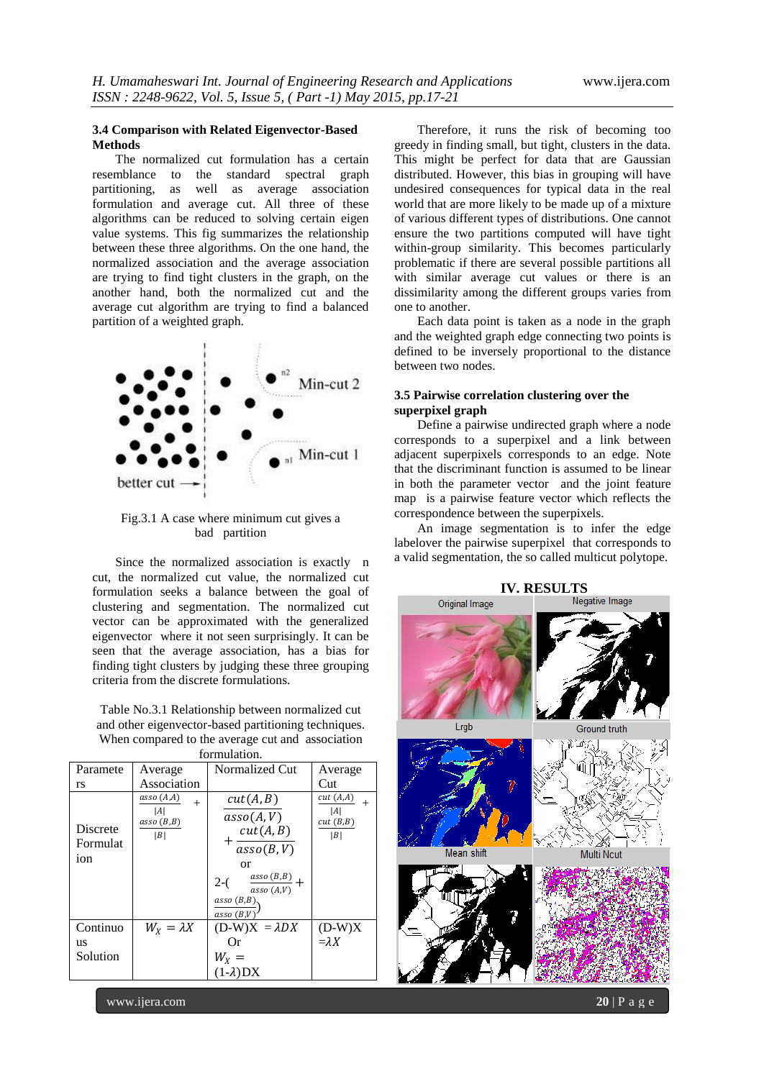# **3.4 Comparison with Related Eigenvector-Based Methods**

The normalized cut formulation has a certain resemblance to the standard spectral graph partitioning, as well as average association formulation and average cut. All three of these algorithms can be reduced to solving certain eigen value systems. This fig summarizes the relationship between these three algorithms. On the one hand, the normalized association and the average association are trying to find tight clusters in the graph, on the another hand, both the normalized cut and the average cut algorithm are trying to find a balanced partition of a weighted graph.



Fig.3.1 A case where minimum cut gives a bad partition

Since the normalized association is exactly n cut, the normalized cut value, the normalized cut formulation seeks a balance between the goal of clustering and segmentation. The normalized cut vector can be approximated with the generalized eigenvector where it not seen surprisingly. It can be seen that the average association, has a bias for finding tight clusters by judging these three grouping criteria from the discrete formulations.

Table No.3.1 Relationship between normalized cut and other eigenvector-based partitioning techniques. When compared to the average cut and association

| formulation.                |                                                |                                                                                                                                                  |                                   |
|-----------------------------|------------------------------------------------|--------------------------------------------------------------------------------------------------------------------------------------------------|-----------------------------------|
| Paramete                    | Average                                        | Normalized Cut                                                                                                                                   | Average                           |
| rs                          | Association                                    |                                                                                                                                                  | Cut                               |
| Discrete<br>Formulat<br>10n | asso (A,A)<br>$^{+}$<br> A <br>asso(B,B)<br> B | cut(A, B)<br>assoc(A, V)<br>cut(A, B)<br>$\overline{assoc(B,V)}$<br>or<br>$\frac{assoc (B,B)}{assoc (A,V)} +$<br>$2-($<br>asso(B,B)<br>asso(B,V) | cut(A,A)<br> A <br>cut(B,B)<br> B |
| Continuo                    | $W_{X} = \lambda X$                            | $(D-W)X = \lambda DX$                                                                                                                            | $(D-W)X$                          |
| us                          |                                                | Оr                                                                                                                                               | $=\lambda X$                      |
| Solution                    |                                                | $W_X =$                                                                                                                                          |                                   |
|                             |                                                | $(1-\lambda)DX$                                                                                                                                  |                                   |

Therefore, it runs the risk of becoming too greedy in finding small, but tight, clusters in the data. This might be perfect for data that are Gaussian distributed. However, this bias in grouping will have undesired consequences for typical data in the real world that are more likely to be made up of a mixture of various different types of distributions. One cannot ensure the two partitions computed will have tight within-group similarity. This becomes particularly problematic if there are several possible partitions all with similar average cut values or there is an dissimilarity among the different groups varies from one to another.

Each data point is taken as a node in the graph and the weighted graph edge connecting two points is defined to be inversely proportional to the distance between two nodes.

# **3.5 Pairwise correlation clustering over the superpixel graph**

Define a pairwise undirected graph where a node corresponds to a superpixel and a link between adjacent superpixels corresponds to an edge. Note that the discriminant function is assumed to be linear in both the parameter vector and the joint feature map is a pairwise feature vector which reflects the correspondence between the superpixels.

An image segmentation is to infer the edge labelover the pairwise superpixel that corresponds to a valid segmentation, the so called multicut polytope.



www.ijera.com **20** | P a g e